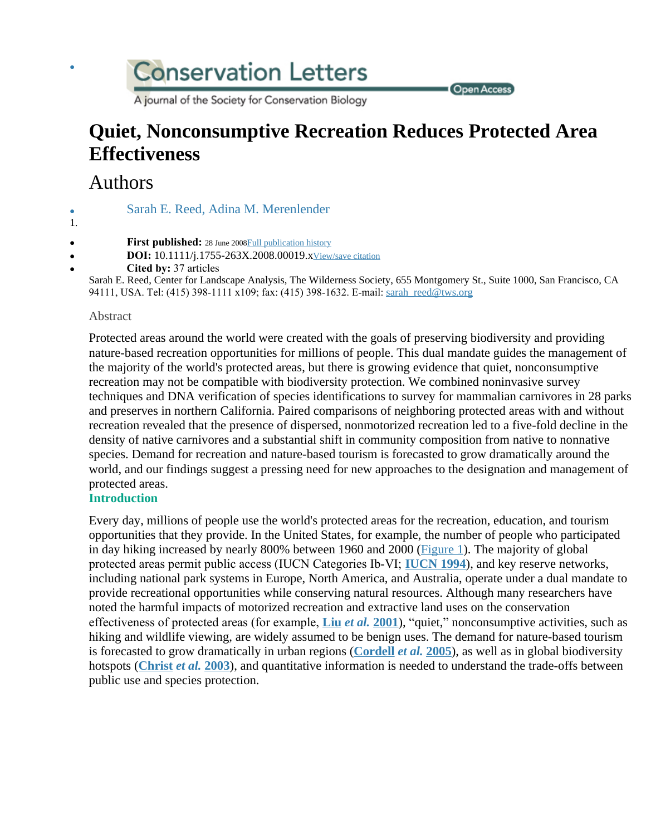# **Conservation Letters**

A journal of the Society for Conservation Biology

#### Open Access

# **Quiet, Nonconsumptive Recreation Reduces Protected Area Effectiveness**

- Authors
- 

 $\bullet$ 

- Sarah E. Reed, Adina M. Merenlender
- 1.
- First published: 28 June 2008[Full publication history](http://onlinelibrary.wiley.com/doi/10.1111/j.1755-263X.2008.00019.x/full#"publication-history")
- **DOI:** 10.1111/j.1755-263X.2008.00019.x[View/save citation](http://onlinelibrary.wiley.com/enhanced/exportCitation/doi/10.1111/j.1755-263X.2008.00019.x)
- **Cited by:** 37 articles

Sarah E. Reed, Center for Landscape Analysis, The Wilderness Society, 655 Montgomery St., Suite 1000, San Francisco, CA 94111, USA. Tel: (415) 398-1111 x109; fax: (415) 398-1632. E-mail: [sarah\\_reed@tws.org](mailto:sarah_reed@tws.org)

#### Abstract

Protected areas around the world were created with the goals of preserving biodiversity and providing nature-based recreation opportunities for millions of people. This dual mandate guides the management of the majority of the world's protected areas, but there is growing evidence that quiet, nonconsumptive recreation may not be compatible with biodiversity protection. We combined noninvasive survey techniques and DNA verification of species identifications to survey for mammalian carnivores in 28 parks and preserves in northern California. Paired comparisons of neighboring protected areas with and without recreation revealed that the presence of dispersed, nonmotorized recreation led to a five-fold decline in the density of native carnivores and a substantial shift in community composition from native to nonnative species. Demand for recreation and nature-based tourism is forecasted to grow dramatically around the world, and our findings suggest a pressing need for new approaches to the designation and management of protected areas.

#### **Introduction**

Every day, millions of people use the world's protected areas for the recreation, education, and tourism opportunities that they provide. In the United States, for example, the number of people who participated in day hiking increased by nearly 800% between 1960 and 2000 (**Figure 1**). The majority of global protected areas permit public access (IUCN Categories Ib-VI; **[IUCN 1994](http://onlinelibrary.wiley.com/doi/10.1111/j.1755-263X.2008.00019.x/full#"b38")**), and key reserve networks, including national park systems in Europe, North America, and Australia, operate under a dual mandate to provide recreational opportunities while conserving natural resources. Although many researchers have noted the harmful impacts of motorized recreation and extractive land uses on the conservation effectiveness of protected areas (for example, **[Liu](http://onlinelibrary.wiley.com/doi/10.1111/j.1755-263X.2008.00019.x/full#"b23")** *[et al.](http://onlinelibrary.wiley.com/doi/10.1111/j.1755-263X.2008.00019.x/full#"b23")* **[2001](http://onlinelibrary.wiley.com/doi/10.1111/j.1755-263X.2008.00019.x/full#"b23")**), "quiet," nonconsumptive activities, such as hiking and wildlife viewing, are widely assumed to be benign uses. The demand for nature-based tourism is forecasted to grow dramatically in urban regions (**[Cordell](http://onlinelibrary.wiley.com/doi/10.1111/j.1755-263X.2008.00019.x/full#"b9")** *[et al.](http://onlinelibrary.wiley.com/doi/10.1111/j.1755-263X.2008.00019.x/full#"b9")* **[2005](http://onlinelibrary.wiley.com/doi/10.1111/j.1755-263X.2008.00019.x/full#"b9")**), as well as in global biodiversity hotspots (**[Christ](http://onlinelibrary.wiley.com/doi/10.1111/j.1755-263X.2008.00019.x/full#"b5")** *[et al.](http://onlinelibrary.wiley.com/doi/10.1111/j.1755-263X.2008.00019.x/full#"b5")* **[2003](http://onlinelibrary.wiley.com/doi/10.1111/j.1755-263X.2008.00019.x/full#"b5")**), and quantitative information is needed to understand the trade-offs between public use and species protection.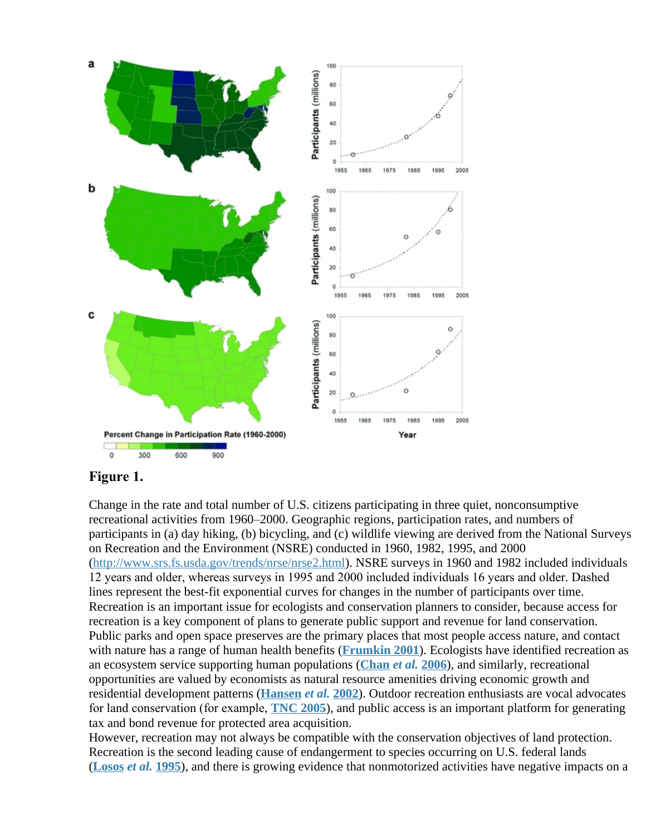

#### **Figure 1.**

Change in the rate and total number of U.S. citizens participating in three quiet, nonconsumptive recreational activities from 1960–2000. Geographic regions, participation rates, and numbers of participants in (a) day hiking, (b) bicycling, and (c) wildlife viewing are derived from the National Surveys on Recreation and the Environment (NSRE) conducted in 1960, 1982, 1995, and 2000 [\(http://www.srs.fs.usda.gov/trends/nrse/nrse2.html](http://www.srs.fs.usda.gov/trends/nrse/nrse2.html)). NSRE surveys in 1960 and 1982 included individuals 12 years and older, whereas surveys in 1995 and 2000 included individuals 16 years and older. Dashed lines represent the best-fit exponential curves for changes in the number of participants over time. Recreation is an important issue for ecologists and conservation planners to consider, because access for recreation is a key component of plans to generate public support and revenue for land conservation. Public parks and open space preserves are the primary places that most people access nature, and contact with nature has a range of human health benefits (**[Frumkin 2001](http://onlinelibrary.wiley.com/doi/10.1111/j.1755-263X.2008.00019.x/full#"b16")**). Ecologists have identified recreation as an ecosystem service supporting human populations (**[Chan](http://onlinelibrary.wiley.com/doi/10.1111/j.1755-263X.2008.00019.x/full#"b4")** *[et al.](http://onlinelibrary.wiley.com/doi/10.1111/j.1755-263X.2008.00019.x/full#"b4")* **[2006](http://onlinelibrary.wiley.com/doi/10.1111/j.1755-263X.2008.00019.x/full#"b4")**), and similarly, recreational opportunities are valued by economists as natural resource amenities driving economic growth and residential development patterns (**[Hansen](http://onlinelibrary.wiley.com/doi/10.1111/j.1755-263X.2008.00019.x/full#"b18")** *[et al.](http://onlinelibrary.wiley.com/doi/10.1111/j.1755-263X.2008.00019.x/full#"b18")* **[2002](http://onlinelibrary.wiley.com/doi/10.1111/j.1755-263X.2008.00019.x/full#"b18")**). Outdoor recreation enthusiasts are vocal advocates for land conservation (for example, **[TNC 2005](http://onlinelibrary.wiley.com/doi/10.1111/j.1755-263X.2008.00019.x/full#"b35")**), and public access is an important platform for generating tax and bond revenue for protected area acquisition.

However, recreation may not always be compatible with the conservation objectives of land protection. Recreation is the second leading cause of endangerment to species occurring on U.S. federal lands (**[Losos](http://onlinelibrary.wiley.com/doi/10.1111/j.1755-263X.2008.00019.x/full#"b24")** *[et al.](http://onlinelibrary.wiley.com/doi/10.1111/j.1755-263X.2008.00019.x/full#"b24")* **[1995](http://onlinelibrary.wiley.com/doi/10.1111/j.1755-263X.2008.00019.x/full#"b24")**), and there is growing evidence that nonmotorized activities have negative impacts on a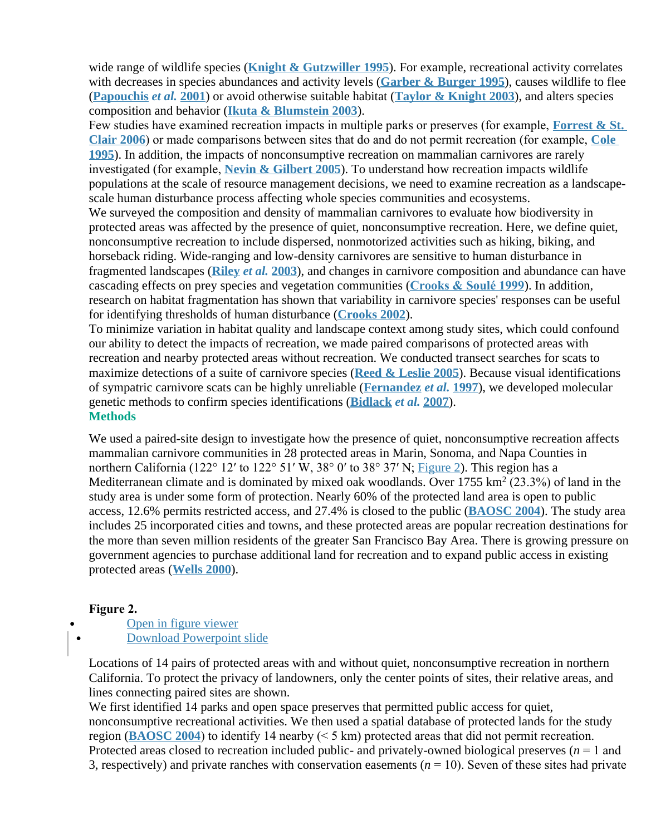wide range of wildlife species (**[Knight & Gutzwiller 1995](http://onlinelibrary.wiley.com/doi/10.1111/j.1755-263X.2008.00019.x/full#"b22")**). For example, recreational activity correlates with decreases in species abundances and activity levels (**[Garber & Burger 1995](http://onlinelibrary.wiley.com/doi/10.1111/j.1755-263X.2008.00019.x/full#"b17")**), causes wildlife to flee (**[Papouchis](http://onlinelibrary.wiley.com/doi/10.1111/j.1755-263X.2008.00019.x/full#"b27")** *[et al.](http://onlinelibrary.wiley.com/doi/10.1111/j.1755-263X.2008.00019.x/full#"b27")* **[2001](http://onlinelibrary.wiley.com/doi/10.1111/j.1755-263X.2008.00019.x/full#"b27")**) or avoid otherwise suitable habitat (**[Taylor & Knight 2003](http://onlinelibrary.wiley.com/doi/10.1111/j.1755-263X.2008.00019.x/full#"b34")**), and alters species composition and behavior (**[Ikuta & Blumstein 2003](http://onlinelibrary.wiley.com/doi/10.1111/j.1755-263X.2008.00019.x/full#"b20")**).

Few studies have examined recreation impacts in multiple parks or preserves (for example, **[Forrest & St.](http://onlinelibrary.wiley.com/doi/10.1111/j.1755-263X.2008.00019.x/full#"b15")  Clair 2006**) or made comparisons between sites that do and do not permit recreation (for example, **[Cole](http://onlinelibrary.wiley.com/doi/10.1111/j.1755-263X.2008.00019.x/full#"b8")  1995**). In addition, the impacts of nonconsumptive recreation on mammalian carnivores are rarely investigated (for example, **[Nevin & Gilbert 2005](http://onlinelibrary.wiley.com/doi/10.1111/j.1755-263X.2008.00019.x/full#"b26")**). To understand how recreation impacts wildlife populations at the scale of resource management decisions, we need to examine recreation as a landscapescale human disturbance process affecting whole species communities and ecosystems. We surveyed the composition and density of mammalian carnivores to evaluate how biodiversity in

protected areas was affected by the presence of quiet, nonconsumptive recreation. Here, we define quiet, nonconsumptive recreation to include dispersed, nonmotorized activities such as hiking, biking, and horseback riding. Wide-ranging and low-density carnivores are sensitive to human disturbance in fragmented landscapes (**[Riley](http://onlinelibrary.wiley.com/doi/10.1111/j.1755-263X.2008.00019.x/full#"b31")** *[et al.](http://onlinelibrary.wiley.com/doi/10.1111/j.1755-263X.2008.00019.x/full#"b31")* **[2003](http://onlinelibrary.wiley.com/doi/10.1111/j.1755-263X.2008.00019.x/full#"b31")**), and changes in carnivore composition and abundance can have cascading effects on prey species and vegetation communities (**[Crooks & Soulé 1999](http://onlinelibrary.wiley.com/doi/10.1111/j.1755-263X.2008.00019.x/full#"b11")**). In addition, research on habitat fragmentation has shown that variability in carnivore species' responses can be useful for identifying thresholds of human disturbance (**[Crooks 2002](http://onlinelibrary.wiley.com/doi/10.1111/j.1755-263X.2008.00019.x/full#"b10")**).

To minimize variation in habitat quality and landscape context among study sites, which could confound our ability to detect the impacts of recreation, we made paired comparisons of protected areas with recreation and nearby protected areas without recreation. We conducted transect searches for scats to maximize detections of a suite of carnivore species (**[Reed & Leslie 2005](http://onlinelibrary.wiley.com/doi/10.1111/j.1755-263X.2008.00019.x/full#"b30")**). Because visual identifications of sympatric carnivore scats can be highly unreliable (**[Fernandez](http://onlinelibrary.wiley.com/doi/10.1111/j.1755-263X.2008.00019.x/full#"b14")** *[et al.](http://onlinelibrary.wiley.com/doi/10.1111/j.1755-263X.2008.00019.x/full#"b14")* **[1997](http://onlinelibrary.wiley.com/doi/10.1111/j.1755-263X.2008.00019.x/full#"b14")**), we developed molecular genetic methods to confirm species identifications (**[Bidlack](http://onlinelibrary.wiley.com/doi/10.1111/j.1755-263X.2008.00019.x/full#"b2")** *[et al.](http://onlinelibrary.wiley.com/doi/10.1111/j.1755-263X.2008.00019.x/full#"b2")* **[2007](http://onlinelibrary.wiley.com/doi/10.1111/j.1755-263X.2008.00019.x/full#"b2")**). **Methods**

We used a paired-site design to investigate how the presence of quiet, nonconsumptive recreation affects mammalian carnivore communities in 28 protected areas in Marin, Sonoma, and Napa Counties in northern California (122° 12′ to 122° 51′ W, 38° 0′ to 38° 37′ N; [Figure 2\)](http://onlinelibrary.wiley.com/doi/10.1111/j.1755-263X.2008.00019.x/full#"f2"). This region has a Mediterranean climate and is dominated by mixed oak woodlands. Over 1755 km<sup>2</sup> (23.3%) of land in the study area is under some form of protection. Nearly 60% of the protected land area is open to public access, 12.6% permits restricted access, and 27.4% is closed to the public (**[BAOSC 2004](http://onlinelibrary.wiley.com/doi/10.1111/j.1755-263X.2008.00019.x/full#"b1")**). The study area includes 25 incorporated cities and towns, and these protected areas are popular recreation destinations for the more than seven million residents of the greater San Francisco Bay Area. There is growing pressure on government agencies to purchase additional land for recreation and to expand public access in existing protected areas (**[Wells 2000](http://onlinelibrary.wiley.com/doi/10.1111/j.1755-263X.2008.00019.x/full#"b36")**).

#### **[Figure 2.](http://onlinelibrary.wiley.com/enhanced/figures/doi/10.1111/j.1755-263X.2008.00019.x#"figure-viewer-f2")**

- [Open in figure viewer](http://onlinelibrary.wiley.com/enhanced/figures/doi/10.1111/j.1755-263X.2008.00019.x#"figure-viewer-f2")
- [Download Powerpoint slide](http://api.onlinelibrary.wiley.com/asset/v1/doi/10.1111%2Fj.1755-263X.2008.00019.x/powerpoint/image_n%2FCONL_019_f2.gif?l=j6%2BNsqLlmq8JFLrIH0qqmstZY8IbhAb4ZGwlvYe%2BODqxJ9%2FuaqIRep4K3dvVUQ1OfXB7whD1OXye%0AydGMLIXGGA%3D%3D&s=%226fb6fde2849d475a8d3f3aad527a3f15%22&a=wol)

Locations of 14 pairs of protected areas with and without quiet, nonconsumptive recreation in northern California. To protect the privacy of landowners, only the center points of sites, their relative areas, and lines connecting paired sites are shown.

We first identified 14 parks and open space preserves that permitted public access for quiet, nonconsumptive recreational activities. We then used a spatial database of protected lands for the study region (**[BAOSC 2004](http://onlinelibrary.wiley.com/doi/10.1111/j.1755-263X.2008.00019.x/full#"b1")**) to identify 14 nearby (< 5 km) protected areas that did not permit recreation. Protected areas closed to recreation included public- and privately-owned biological preserves  $(n = 1$  and 3, respectively) and private ranches with conservation easements  $(n = 10)$ . Seven of these sites had private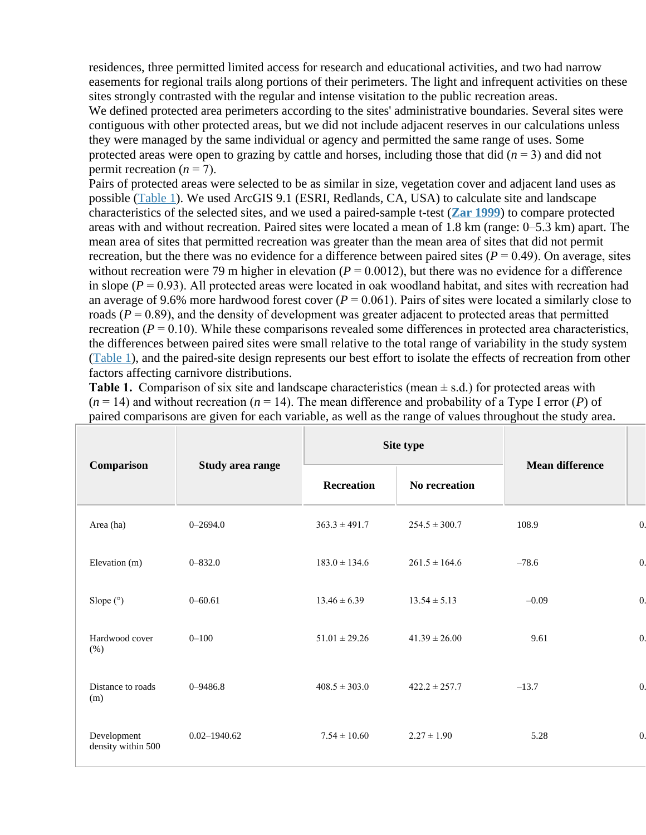residences, three permitted limited access for research and educational activities, and two had narrow easements for regional trails along portions of their perimeters. The light and infrequent activities on these sites strongly contrasted with the regular and intense visitation to the public recreation areas. We defined protected area perimeters according to the sites' administrative boundaries. Several sites were

contiguous with other protected areas, but we did not include adjacent reserves in our calculations unless they were managed by the same individual or agency and permitted the same range of uses. Some protected areas were open to grazing by cattle and horses, including those that did  $(n = 3)$  and did not permit recreation  $(n = 7)$ .

Pairs of protected areas were selected to be as similar in size, vegetation cover and adjacent land uses as possible ([Table 1\)](http://onlinelibrary.wiley.com/doi/10.1111/j.1755-263X.2008.00019.x/full#"t1"). We used ArcGIS 9.1 (ESRI, Redlands, CA, USA) to calculate site and landscape characteristics of the selected sites, and we used a paired-sample t-test (**[Zar 1999](http://onlinelibrary.wiley.com/doi/10.1111/j.1755-263X.2008.00019.x/full#"b39")**) to compare protected areas with and without recreation. Paired sites were located a mean of 1.8 km (range: 0–5.3 km) apart. The mean area of sites that permitted recreation was greater than the mean area of sites that did not permit recreation, but the there was no evidence for a difference between paired sites  $(P = 0.49)$ . On average, sites without recreation were 79 m higher in elevation  $(P = 0.0012)$ , but there was no evidence for a difference in slope  $(P = 0.93)$ . All protected areas were located in oak woodland habitat, and sites with recreation had an average of 9.6% more hardwood forest cover  $(P = 0.061)$ . Pairs of sites were located a similarly close to roads  $(P = 0.89)$ , and the density of development was greater adjacent to protected areas that permitted recreation  $(P = 0.10)$ . While these comparisons revealed some differences in protected area characteristics, the differences between paired sites were small relative to the total range of variability in the study system [\(Table 1\)](http://onlinelibrary.wiley.com/doi/10.1111/j.1755-263X.2008.00019.x/full#"t1"), and the paired-site design represents our best effort to isolate the effects of recreation from other factors affecting carnivore distributions.

**Table 1.**  Comparison of six site and landscape characteristics (mean ± s.d.) for protected areas with  $(n = 14)$  and without recreation  $(n = 14)$ . The mean difference and probability of a Type I error (P) of paired comparisons are given for each variable, as well as the range of values throughout the study area.

|                                   | <b>Study area range</b> | Site type         |                   | <b>Mean difference</b> |                |
|-----------------------------------|-------------------------|-------------------|-------------------|------------------------|----------------|
| Comparison                        |                         | <b>Recreation</b> | No recreation     |                        |                |
| Area (ha)                         | $0 - 2694.0$            | $363.3 \pm 491.7$ | $254.5 \pm 300.7$ | 108.9                  | $\overline{0}$ |
| Elevation (m)                     | $0 - 832.0$             | $183.0 \pm 134.6$ | $261.5 \pm 164.6$ | $-78.6$                | $\overline{0}$ |
| Slope $(°)$                       | $0 - 60.61$             | $13.46 \pm 6.39$  | $13.54 \pm 5.13$  | $-0.09$                | $\overline{0}$ |
| Hardwood cover<br>$(\% )$         | $0 - 100$               | $51.01 \pm 29.26$ | $41.39 \pm 26.00$ | 9.61                   | $\overline{0}$ |
| Distance to roads<br>(m)          | $0 - 9486.8$            | $408.5 \pm 303.0$ | $422.2 \pm 257.7$ | $-13.7$                | $\overline{0}$ |
| Development<br>density within 500 | $0.02 - 1940.62$        | $7.54 \pm 10.60$  | $2.27 \pm 1.90$   | 5.28                   | $\overline{0}$ |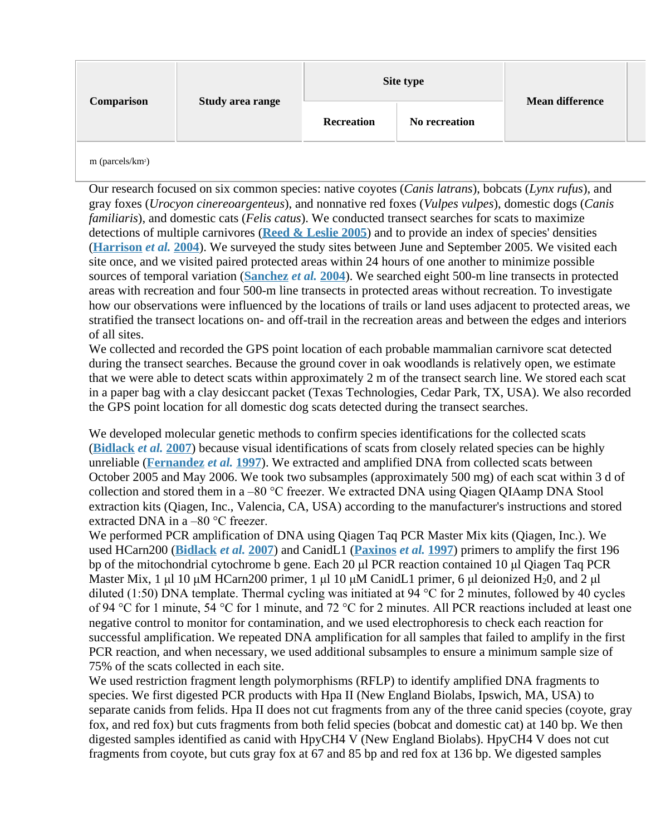|            | <b>Study area range</b> | Site type  |               | <b>Mean difference</b> |  |
|------------|-------------------------|------------|---------------|------------------------|--|
| Comparison |                         | Recreation | No recreation |                        |  |

m (parcels/km2)

Our research focused on six common species: native coyotes (*Canis latrans*), bobcats (*Lynx rufus*), and gray foxes (*Urocyon cinereoargenteus*), and nonnative red foxes (*Vulpes vulpes*), domestic dogs (*Canis familiaris*), and domestic cats (*Felis catus*). We conducted transect searches for scats to maximize detections of multiple carnivores (**[Reed & Leslie 2005](http://onlinelibrary.wiley.com/doi/10.1111/j.1755-263X.2008.00019.x/full#"b30")**) and to provide an index of species' densities (**[Harrison](http://onlinelibrary.wiley.com/doi/10.1111/j.1755-263X.2008.00019.x/full#"b19")** *[et al.](http://onlinelibrary.wiley.com/doi/10.1111/j.1755-263X.2008.00019.x/full#"b19")* **[2004](http://onlinelibrary.wiley.com/doi/10.1111/j.1755-263X.2008.00019.x/full#"b19")**). We surveyed the study sites between June and September 2005. We visited each site once, and we visited paired protected areas within 24 hours of one another to minimize possible sources of temporal variation (**[Sanchez](http://onlinelibrary.wiley.com/doi/10.1111/j.1755-263X.2008.00019.x/full#"b33")** *[et al.](http://onlinelibrary.wiley.com/doi/10.1111/j.1755-263X.2008.00019.x/full#"b33")* **[2004](http://onlinelibrary.wiley.com/doi/10.1111/j.1755-263X.2008.00019.x/full#"b33")**). We searched eight 500-m line transects in protected areas with recreation and four 500-m line transects in protected areas without recreation. To investigate how our observations were influenced by the locations of trails or land uses adjacent to protected areas, we stratified the transect locations on- and off-trail in the recreation areas and between the edges and interiors of all sites.

We collected and recorded the GPS point location of each probable mammalian carnivore scat detected during the transect searches. Because the ground cover in oak woodlands is relatively open, we estimate that we were able to detect scats within approximately 2 m of the transect search line. We stored each scat in a paper bag with a clay desiccant packet (Texas Technologies, Cedar Park, TX, USA). We also recorded the GPS point location for all domestic dog scats detected during the transect searches.

We developed molecular genetic methods to confirm species identifications for the collected scats (**[Bidlack](http://onlinelibrary.wiley.com/doi/10.1111/j.1755-263X.2008.00019.x/full#"b2")** *[et al.](http://onlinelibrary.wiley.com/doi/10.1111/j.1755-263X.2008.00019.x/full#"b2")* **[2007](http://onlinelibrary.wiley.com/doi/10.1111/j.1755-263X.2008.00019.x/full#"b2")**) because visual identifications of scats from closely related species can be highly unreliable (**[Fernandez](http://onlinelibrary.wiley.com/doi/10.1111/j.1755-263X.2008.00019.x/full#"b14")** *[et al.](http://onlinelibrary.wiley.com/doi/10.1111/j.1755-263X.2008.00019.x/full#"b14")* [1997](http://onlinelibrary.wiley.com/doi/10.1111/j.1755-263X.2008.00019.x/full#"b14")). We extracted and amplified DNA from collected scats between October 2005 and May 2006. We took two subsamples (approximately 500 mg) of each scat within 3 d of collection and stored them in a –80 °C freezer. We extracted DNA using Qiagen QIAamp DNA Stool extraction kits (Qiagen, Inc., Valencia, CA, USA) according to the manufacturer's instructions and stored extracted DNA in a –80 °C freezer.

We performed PCR amplification of DNA using Qiagen Taq PCR Master Mix kits (Qiagen, Inc.). We used HCarn200 (**[Bidlack](http://onlinelibrary.wiley.com/doi/10.1111/j.1755-263X.2008.00019.x/full#"b2")** *[et al.](http://onlinelibrary.wiley.com/doi/10.1111/j.1755-263X.2008.00019.x/full#"b2")* **[2007](http://onlinelibrary.wiley.com/doi/10.1111/j.1755-263X.2008.00019.x/full#"b2")**) and CanidL1 (**[Paxinos](http://onlinelibrary.wiley.com/doi/10.1111/j.1755-263X.2008.00019.x/full#"b28")** *[et al.](http://onlinelibrary.wiley.com/doi/10.1111/j.1755-263X.2008.00019.x/full#"b28")* **[1997](http://onlinelibrary.wiley.com/doi/10.1111/j.1755-263X.2008.00019.x/full#"b28")**) primers to amplify the first 196 bp of the mitochondrial cytochrome b gene. Each 20 μl PCR reaction contained 10 μl Qiagen Taq PCR Master Mix, 1 μl 10 μM HCarn200 primer, 1 μl 10 μM CanidL1 primer, 6 μl deionized H<sub>2</sub>0, and 2 μl diluted (1:50) DNA template. Thermal cycling was initiated at 94 °C for 2 minutes, followed by 40 cycles of 94 °C for 1 minute, 54 °C for 1 minute, and 72 °C for 2 minutes. All PCR reactions included at least one negative control to monitor for contamination, and we used electrophoresis to check each reaction for successful amplification. We repeated DNA amplification for all samples that failed to amplify in the first PCR reaction, and when necessary, we used additional subsamples to ensure a minimum sample size of 75% of the scats collected in each site.

We used restriction fragment length polymorphisms (RFLP) to identify amplified DNA fragments to species. We first digested PCR products with Hpa II (New England Biolabs, Ipswich, MA, USA) to separate canids from felids. Hpa II does not cut fragments from any of the three canid species (coyote, gray fox, and red fox) but cuts fragments from both felid species (bobcat and domestic cat) at 140 bp. We then digested samples identified as canid with HpyCH4 V (New England Biolabs). HpyCH4 V does not cut fragments from coyote, but cuts gray fox at 67 and 85 bp and red fox at 136 bp. We digested samples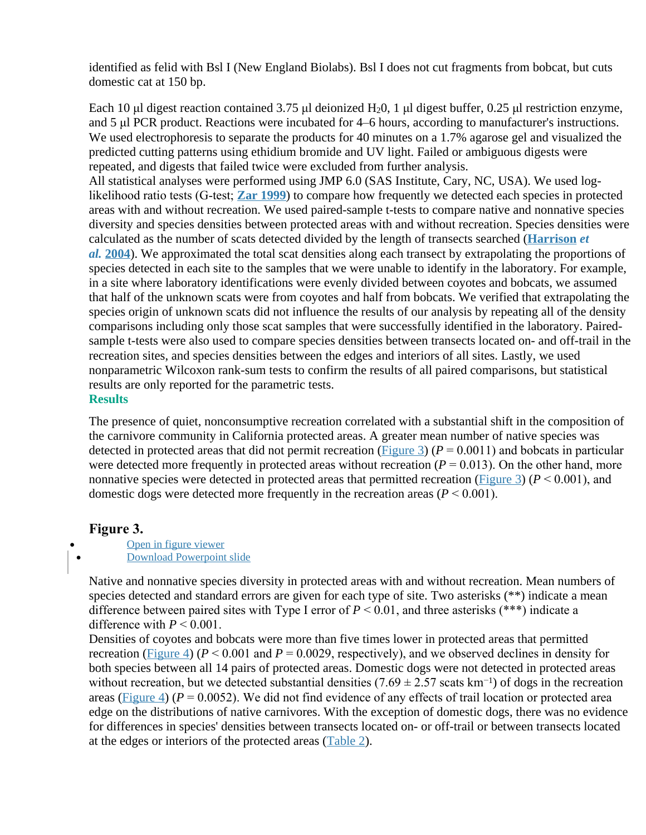identified as felid with Bsl I (New England Biolabs). Bsl I does not cut fragments from bobcat, but cuts domestic cat at 150 bp.

Each 10 μl digest reaction contained 3.75 μl deionized H<sub>2</sub>0, 1 μl digest buffer, 0.25 μl restriction enzyme, and 5 μl PCR product. Reactions were incubated for 4–6 hours, according to manufacturer's instructions. We used electrophoresis to separate the products for 40 minutes on a 1.7% agarose gel and visualized the predicted cutting patterns using ethidium bromide and UV light. Failed or ambiguous digests were repeated, and digests that failed twice were excluded from further analysis.

All statistical analyses were performed using JMP 6.0 (SAS Institute, Cary, NC, USA). We used loglikelihood ratio tests (G-test; **[Zar 1999](http://onlinelibrary.wiley.com/doi/10.1111/j.1755-263X.2008.00019.x/full#"b39")**) to compare how frequently we detected each species in protected areas with and without recreation. We used paired-sample t-tests to compare native and nonnative species diversity and species densities between protected areas with and without recreation. Species densities were calculated as the number of scats detected divided by the length of transects searched (**[Harrison](http://onlinelibrary.wiley.com/doi/10.1111/j.1755-263X.2008.00019.x/full#"b19")** *[et](http://onlinelibrary.wiley.com/doi/10.1111/j.1755-263X.2008.00019.x/full#"b19")  [al.](http://onlinelibrary.wiley.com/doi/10.1111/j.1755-263X.2008.00019.x/full#"b19")* **[2004](http://onlinelibrary.wiley.com/doi/10.1111/j.1755-263X.2008.00019.x/full#"b19")**). We approximated the total scat densities along each transect by extrapolating the proportions of species detected in each site to the samples that we were unable to identify in the laboratory. For example, in a site where laboratory identifications were evenly divided between coyotes and bobcats, we assumed that half of the unknown scats were from coyotes and half from bobcats. We verified that extrapolating the species origin of unknown scats did not influence the results of our analysis by repeating all of the density comparisons including only those scat samples that were successfully identified in the laboratory. Pairedsample t-tests were also used to compare species densities between transects located on- and off-trail in the recreation sites, and species densities between the edges and interiors of all sites. Lastly, we used nonparametric Wilcoxon rank-sum tests to confirm the results of all paired comparisons, but statistical results are only reported for the parametric tests. **Results**

The presence of quiet, nonconsumptive recreation correlated with a substantial shift in the composition of the carnivore community in California protected areas. A greater mean number of native species was detected in protected areas that did not permit recreation ([Figure 3](http://onlinelibrary.wiley.com/doi/10.1111/j.1755-263X.2008.00019.x/full#"f3")) ( $P = 0.0011$ ) and bobcats in particular were detected more frequently in protected areas without recreation  $(P = 0.013)$ . On the other hand, more nonnative species were detected in protected areas that permitted recreation ( $Figure 3$ ) ( $P < 0.001$ ), and domestic dogs were detected more frequently in the recreation areas  $(P < 0.001)$ .

#### **[Figure 3.](http://onlinelibrary.wiley.com/enhanced/figures/doi/10.1111/j.1755-263X.2008.00019.x#"figure-viewer-f3")**

 [Open in figure viewer](http://onlinelibrary.wiley.com/enhanced/figures/doi/10.1111/j.1755-263X.2008.00019.x#"figure-viewer-f3") [Download Powerpoint slide](http://api.onlinelibrary.wiley.com/asset/v1/doi/10.1111%2Fj.1755-263X.2008.00019.x/powerpoint/image_n%2FCONL_019_f3.gif?l=j6%2BNsqLlmq8JFLrIH0qqmstZY8IbhAb4ZGwlvYe%2BODqxJ9%2FuaqIRep4K3dvVUQ1OwojpCyfDbX9C%0ALaIQhmq%2Fcw%3D%3D&s=%226fb6fde2849d475a8d3f3aad527a3f15%22&a=wol)

Native and nonnative species diversity in protected areas with and without recreation. Mean numbers of species detected and standard errors are given for each type of site. Two asterisks (\*\*) indicate a mean difference between paired sites with Type I error of  $P < 0.01$ , and three asterisks (\*\*\*) indicate a difference with  $P \le 0.001$ .

Densities of coyotes and bobcats were more than five times lower in protected areas that permitted recreation [\(Figure 4\)](http://onlinelibrary.wiley.com/doi/10.1111/j.1755-263X.2008.00019.x/full#"f4") ( $P < 0.001$  and  $P = 0.0029$ , respectively), and we observed declines in density for both species between all 14 pairs of protected areas. Domestic dogs were not detected in protected areas without recreation, but we detected substantial densities  $(7.69 \pm 2.57 \text{ scats km}^{-1})$  of dogs in the recreation areas ([Figure 4](http://onlinelibrary.wiley.com/doi/10.1111/j.1755-263X.2008.00019.x/full#"f4")) ( $P = 0.0052$ ). We did not find evidence of any effects of trail location or protected area edge on the distributions of native carnivores. With the exception of domestic dogs, there was no evidence for differences in species' densities between transects located on- or off-trail or between transects located at the edges or interiors of the protected areas ([Table 2](http://onlinelibrary.wiley.com/doi/10.1111/j.1755-263X.2008.00019.x/full#"t2")).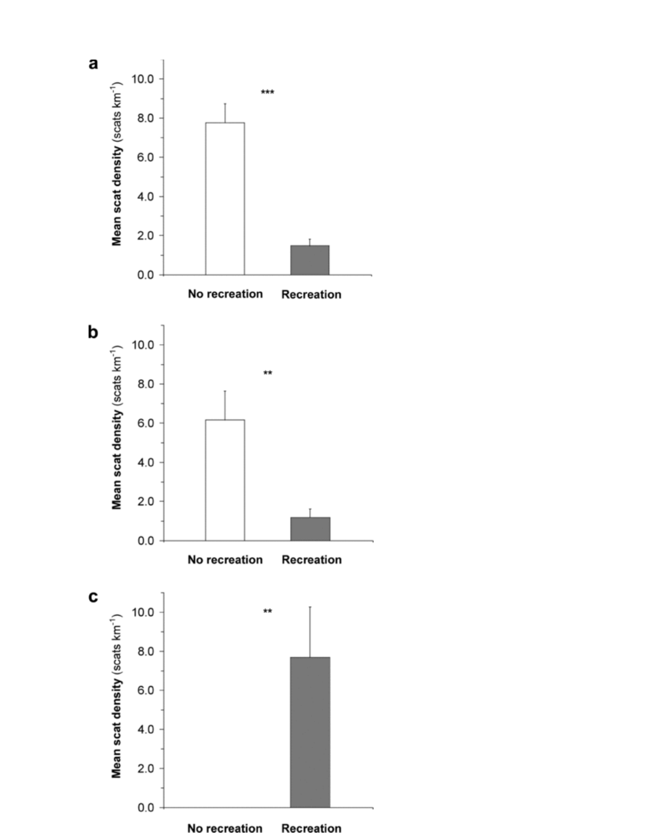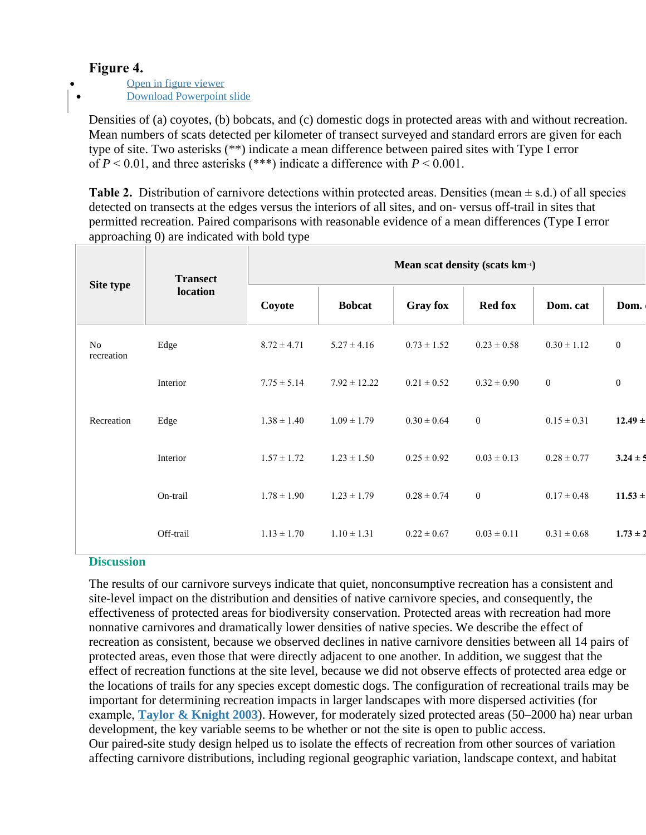## **Figure 4.**

[Open in figure viewer](http://onlinelibrary.wiley.com/enhanced/figures/doi/10.1111/j.1755-263X.2008.00019.x#"figure-viewer-f4")

[Download Powerpoint slide](http://api.onlinelibrary.wiley.com/asset/v1/doi/10.1111%2Fj.1755-263X.2008.00019.x/powerpoint/image_n%2FCONL_019_f4.gif?l=j6%2BNsqLlmq8JFLrIH0qqmstZY8IbhAb4ZGwlvYe%2BODqxJ9%2FuaqIRep4K3dvVUQ1OBTg%2FZ4fomXns%0ALyAh%2Fondbw%3D%3D&s=%226fb6fde2849d475a8d3f3aad527a3f15%22&a=wol)

Densities of (a) coyotes, (b) bobcats, and (c) domestic dogs in protected areas with and without recreation. Mean numbers of scats detected per kilometer of transect surveyed and standard errors are given for each type of site. Two asterisks (\*\*) indicate a mean difference between paired sites with Type I error of  $P \le 0.01$ , and three asterisks (\*\*\*) indicate a difference with  $P \le 0.001$ .

**Table 2.** Distribution of carnivore detections within protected areas. Densities (mean  $\pm$  s.d.) of all species detected on transects at the edges versus the interiors of all sites, and on- versus off-trail in sites that permitted recreation. Paired comparisons with reasonable evidence of a mean differences (Type I error approaching 0) are indicated with bold type

| Site type        | <b>Transect</b><br>location | Mean scat density (scats km <sup>-1</sup> ) |                  |                 |                 |                  |                  |  |
|------------------|-----------------------------|---------------------------------------------|------------------|-----------------|-----------------|------------------|------------------|--|
|                  |                             | Coyote                                      | <b>Bobcat</b>    | <b>Gray</b> fox | <b>Red fox</b>  | Dom. cat         | Dom.             |  |
| No<br>recreation | Edge                        | $8.72 \pm 4.71$                             | $5.27 \pm 4.16$  | $0.73 \pm 1.52$ | $0.23 \pm 0.58$ | $0.30 \pm 1.12$  | $\mathbf{0}$     |  |
|                  | Interior                    | $7.75 \pm 5.14$                             | $7.92 \pm 12.22$ | $0.21 \pm 0.52$ | $0.32 \pm 0.90$ | $\boldsymbol{0}$ | $\boldsymbol{0}$ |  |
| Recreation       | Edge                        | $1.38 \pm 1.40$                             | $1.09 \pm 1.79$  | $0.30 \pm 0.64$ | $\overline{0}$  | $0.15 \pm 0.31$  | $12.49 \pm$      |  |
|                  | Interior                    | $1.57 \pm 1.72$                             | $1.23 \pm 1.50$  | $0.25 \pm 0.92$ | $0.03 \pm 0.13$ | $0.28 \pm 0.77$  | $3.24 \pm 5$     |  |
|                  | On-trail                    | $1.78 \pm 1.90$                             | $1.23 \pm 1.79$  | $0.28 \pm 0.74$ | $\mathbf{0}$    | $0.17 \pm 0.48$  | $11.53 \pm$      |  |
|                  | Off-trail                   | $1.13 \pm 1.70$                             | $1.10 \pm 1.31$  | $0.22 \pm 0.67$ | $0.03 \pm 0.11$ | $0.31 \pm 0.68$  | $1.73 \pm 2$     |  |

#### **Discussion**

The results of our carnivore surveys indicate that quiet, nonconsumptive recreation has a consistent and site-level impact on the distribution and densities of native carnivore species, and consequently, the effectiveness of protected areas for biodiversity conservation. Protected areas with recreation had more nonnative carnivores and dramatically lower densities of native species. We describe the effect of recreation as consistent, because we observed declines in native carnivore densities between all 14 pairs of protected areas, even those that were directly adjacent to one another. In addition, we suggest that the effect of recreation functions at the site level, because we did not observe effects of protected area edge or the locations of trails for any species except domestic dogs. The configuration of recreational trails may be important for determining recreation impacts in larger landscapes with more dispersed activities (for example, **[Taylor & Knight 2003](http://onlinelibrary.wiley.com/doi/10.1111/j.1755-263X.2008.00019.x/full#"b34")**). However, for moderately sized protected areas (50–2000 ha) near urban development, the key variable seems to be whether or not the site is open to public access. Our paired-site study design helped us to isolate the effects of recreation from other sources of variation affecting carnivore distributions, including regional geographic variation, landscape context, and habitat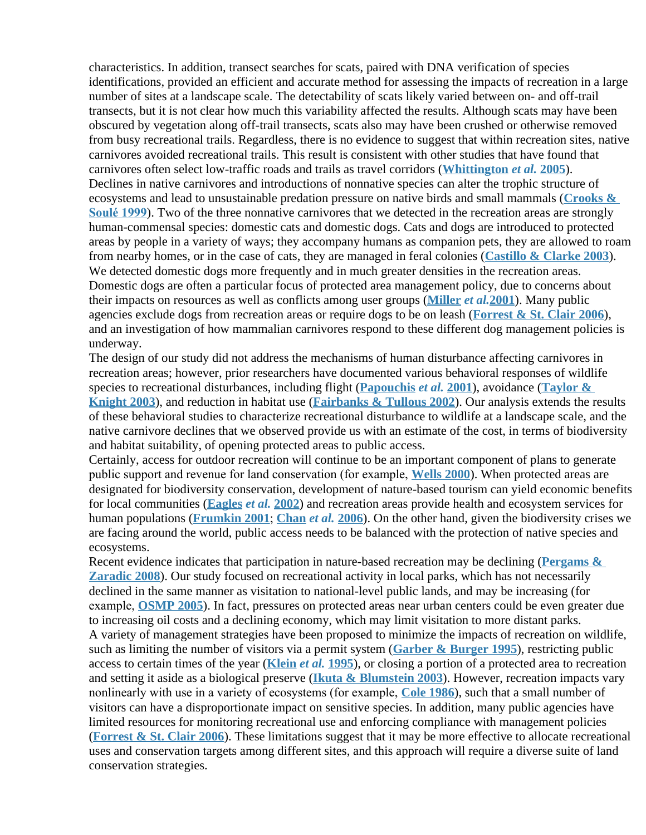characteristics. In addition, transect searches for scats, paired with DNA verification of species identifications, provided an efficient and accurate method for assessing the impacts of recreation in a large number of sites at a landscape scale. The detectability of scats likely varied between on- and off-trail transects, but it is not clear how much this variability affected the results. Although scats may have been obscured by vegetation along off-trail transects, scats also may have been crushed or otherwise removed from busy recreational trails. Regardless, there is no evidence to suggest that within recreation sites, native carnivores avoided recreational trails. This result is consistent with other studies that have found that carnivores often select low-traffic roads and trails as travel corridors (**[Whittington](http://onlinelibrary.wiley.com/doi/10.1111/j.1755-263X.2008.00019.x/full#"b37")** *[et al.](http://onlinelibrary.wiley.com/doi/10.1111/j.1755-263X.2008.00019.x/full#"b37")* **[2005](http://onlinelibrary.wiley.com/doi/10.1111/j.1755-263X.2008.00019.x/full#"b37")**). Declines in native carnivores and introductions of nonnative species can alter the trophic structure of ecosystems and lead to unsustainable predation pressure on native birds and small mammals (**[Crooks &](http://onlinelibrary.wiley.com/doi/10.1111/j.1755-263X.2008.00019.x/full#"b11")  Soulé 1999**). Two of the three nonnative carnivores that we detected in the recreation areas are strongly human-commensal species: domestic cats and domestic dogs. Cats and dogs are introduced to protected areas by people in a variety of ways; they accompany humans as companion pets, they are allowed to roam from nearby homes, or in the case of cats, they are managed in feral colonies (**[Castillo & Clarke 2003](http://onlinelibrary.wiley.com/doi/10.1111/j.1755-263X.2008.00019.x/full#"b3")**). We detected domestic dogs more frequently and in much greater densities in the recreation areas. Domestic dogs are often a particular focus of protected area management policy, due to concerns about their impacts on resources as well as conflicts among user groups (**[Miller](http://onlinelibrary.wiley.com/doi/10.1111/j.1755-263X.2008.00019.x/full#"b40")** *[et al.](http://onlinelibrary.wiley.com/doi/10.1111/j.1755-263X.2008.00019.x/full#"b40")***[2001](http://onlinelibrary.wiley.com/doi/10.1111/j.1755-263X.2008.00019.x/full#"b40")**). Many public agencies exclude dogs from recreation areas or require dogs to be on leash (**[Forrest & St. Clair 2006](http://onlinelibrary.wiley.com/doi/10.1111/j.1755-263X.2008.00019.x/full#"b15")**), and an investigation of how mammalian carnivores respond to these different dog management policies is underway.

The design of our study did not address the mechanisms of human disturbance affecting carnivores in recreation areas; however, prior researchers have documented various behavioral responses of wildlife species to recreational disturbances, including flight (**[Papouchis](http://onlinelibrary.wiley.com/doi/10.1111/j.1755-263X.2008.00019.x/full#"b27")** *[et al.](http://onlinelibrary.wiley.com/doi/10.1111/j.1755-263X.2008.00019.x/full#"b27")* **[2001](http://onlinelibrary.wiley.com/doi/10.1111/j.1755-263X.2008.00019.x/full#"b27")**), avoidance (**[Taylor &](http://onlinelibrary.wiley.com/doi/10.1111/j.1755-263X.2008.00019.x/full#"b34")  Knight 2003**), and reduction in habitat use (**[Fairbanks & Tullous 2002](http://onlinelibrary.wiley.com/doi/10.1111/j.1755-263X.2008.00019.x/full#"b13")**). Our analysis extends the results of these behavioral studies to characterize recreational disturbance to wildlife at a landscape scale, and the native carnivore declines that we observed provide us with an estimate of the cost, in terms of biodiversity and habitat suitability, of opening protected areas to public access.

Certainly, access for outdoor recreation will continue to be an important component of plans to generate public support and revenue for land conservation (for example, **[Wells 2000](http://onlinelibrary.wiley.com/doi/10.1111/j.1755-263X.2008.00019.x/full#"b36")**). When protected areas are designated for biodiversity conservation, development of nature-based tourism can yield economic benefits for local communities (**[Eagles](http://onlinelibrary.wiley.com/doi/10.1111/j.1755-263X.2008.00019.x/full#"b12")** *[et al.](http://onlinelibrary.wiley.com/doi/10.1111/j.1755-263X.2008.00019.x/full#"b12")* **[2002](http://onlinelibrary.wiley.com/doi/10.1111/j.1755-263X.2008.00019.x/full#"b12")**) and recreation areas provide health and ecosystem services for human populations (**[Frumkin 2001](http://onlinelibrary.wiley.com/doi/10.1111/j.1755-263X.2008.00019.x/full#"b16")**; **[Chan](http://onlinelibrary.wiley.com/doi/10.1111/j.1755-263X.2008.00019.x/full#"b4")** *[et al.](http://onlinelibrary.wiley.com/doi/10.1111/j.1755-263X.2008.00019.x/full#"b4")* **[2006](http://onlinelibrary.wiley.com/doi/10.1111/j.1755-263X.2008.00019.x/full#"b4")**). On the other hand, given the biodiversity crises we are facing around the world, public access needs to be balanced with the protection of native species and ecosystems.

Recent evidence indicates that participation in nature-based recreation may be declining (**[Pergams &](http://onlinelibrary.wiley.com/doi/10.1111/j.1755-263X.2008.00019.x/full#"b29")  Zaradic 2008**). Our study focused on recreational activity in local parks, which has not necessarily declined in the same manner as visitation to national-level public lands, and may be increasing (for example, **[OSMP 2005](http://onlinelibrary.wiley.com/doi/10.1111/j.1755-263X.2008.00019.x/full#"b6")**). In fact, pressures on protected areas near urban centers could be even greater due to increasing oil costs and a declining economy, which may limit visitation to more distant parks. A variety of management strategies have been proposed to minimize the impacts of recreation on wildlife, such as limiting the number of visitors via a permit system (**[Garber & Burger 1995](http://onlinelibrary.wiley.com/doi/10.1111/j.1755-263X.2008.00019.x/full#"b17")**), restricting public access to certain times of the year (**[Klein](http://onlinelibrary.wiley.com/doi/10.1111/j.1755-263X.2008.00019.x/full#"b21")** *[et al.](http://onlinelibrary.wiley.com/doi/10.1111/j.1755-263X.2008.00019.x/full#"b21")* **[1995](http://onlinelibrary.wiley.com/doi/10.1111/j.1755-263X.2008.00019.x/full#"b21")**), or closing a portion of a protected area to recreation and setting it aside as a biological preserve (**[Ikuta & Blumstein 2003](http://onlinelibrary.wiley.com/doi/10.1111/j.1755-263X.2008.00019.x/full#"b20")**). However, recreation impacts vary nonlinearly with use in a variety of ecosystems (for example, **[Cole 1986](http://onlinelibrary.wiley.com/doi/10.1111/j.1755-263X.2008.00019.x/full#"b7")**), such that a small number of visitors can have a disproportionate impact on sensitive species. In addition, many public agencies have limited resources for monitoring recreational use and enforcing compliance with management policies (**[Forrest & St. Clair 2006](http://onlinelibrary.wiley.com/doi/10.1111/j.1755-263X.2008.00019.x/full#"b15")**). These limitations suggest that it may be more effective to allocate recreational uses and conservation targets among different sites, and this approach will require a diverse suite of land conservation strategies.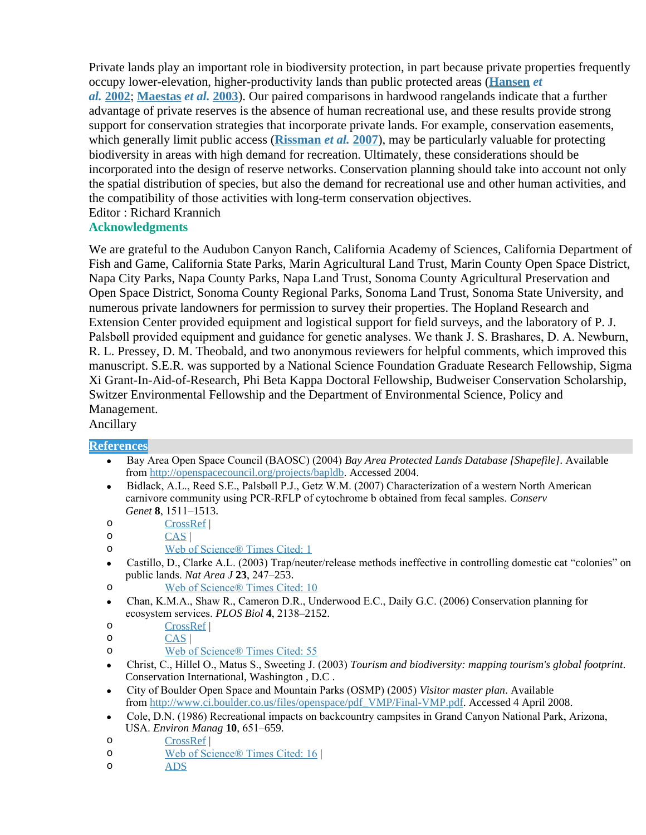Private lands play an important role in biodiversity protection, in part because private properties frequently occupy lower-elevation, higher-productivity lands than public protected areas (**[Hansen](http://onlinelibrary.wiley.com/doi/10.1111/j.1755-263X.2008.00019.x/full#"b18")** *[et](http://onlinelibrary.wiley.com/doi/10.1111/j.1755-263X.2008.00019.x/full#"b18")  [al.](http://onlinelibrary.wiley.com/doi/10.1111/j.1755-263X.2008.00019.x/full#"b18")* **[2002](http://onlinelibrary.wiley.com/doi/10.1111/j.1755-263X.2008.00019.x/full#"b18")**; **[Maestas](http://onlinelibrary.wiley.com/doi/10.1111/j.1755-263X.2008.00019.x/full#"b25")** *[et al.](http://onlinelibrary.wiley.com/doi/10.1111/j.1755-263X.2008.00019.x/full#"b25")* **[2003](http://onlinelibrary.wiley.com/doi/10.1111/j.1755-263X.2008.00019.x/full#"b25")**). Our paired comparisons in hardwood rangelands indicate that a further advantage of private reserves is the absence of human recreational use, and these results provide strong support for conservation strategies that incorporate private lands. For example, conservation easements, which generally limit public access (**[Rissman](http://onlinelibrary.wiley.com/doi/10.1111/j.1755-263X.2008.00019.x/full#"b32")** *[et al.](http://onlinelibrary.wiley.com/doi/10.1111/j.1755-263X.2008.00019.x/full#"b32")* **[2007](http://onlinelibrary.wiley.com/doi/10.1111/j.1755-263X.2008.00019.x/full#"b32")**), may be particularly valuable for protecting biodiversity in areas with high demand for recreation. Ultimately, these considerations should be incorporated into the design of reserve networks. Conservation planning should take into account not only the spatial distribution of species, but also the demand for recreational use and other human activities, and the compatibility of those activities with long-term conservation objectives. Editor : Richard Krannich

### **Acknowledgments**

We are grateful to the Audubon Canyon Ranch, California Academy of Sciences, California Department of Fish and Game, California State Parks, Marin Agricultural Land Trust, Marin County Open Space District, Napa City Parks, Napa County Parks, Napa Land Trust, Sonoma County Agricultural Preservation and Open Space District, Sonoma County Regional Parks, Sonoma Land Trust, Sonoma State University, and numerous private landowners for permission to survey their properties. The Hopland Research and Extension Center provided equipment and logistical support for field surveys, and the laboratory of P. J. Palsbøll provided equipment and guidance for genetic analyses. We thank J. S. Brashares, D. A. Newburn, R. L. Pressey, D. M. Theobald, and two anonymous reviewers for helpful comments, which improved this manuscript. S.E.R. was supported by a National Science Foundation Graduate Research Fellowship, Sigma Xi Grant-In-Aid-of-Research, Phi Beta Kappa Doctoral Fellowship, Budweiser Conservation Scholarship, Switzer Environmental Fellowship and the Department of Environmental Science, Policy and Management.

# Ancillary

### **[References](http://onlinelibrary.wiley.com/doi/10.1111/j.1755-263X.2008.00019.x/full#"ss6")**

- Bay Area Open Space Council (BAOSC) (2004) *Bay Area Protected Lands Database [Shapefile]*. Available from <http://openspacecouncil.org/projects/bapldb>. Accessed 2004.
- Bidlack, A.L., Reed S.E., Palsbøll P.J., Getz W.M. (2007) Characterization of a western North American carnivore community using PCR-RFLP of cytochrome b obtained from fecal samples. *Conserv Genet* **8**, 1511–1513.
- o [CrossRef](http://dx.doi.org/10.1007%2Fs10592-007-9285-3) |
- o [CAS](http://chemport.cas.org/cgi-bin/sdcgi?APP=ftslink&action=reflink&origin=wiley&version=1%2E0&coi=1%3aCAS%3a528%3aDC%252BD2sXht1amtrrI&md5=f1a511a782347ebbdcd252a4138e2018) |
- o [Web of Science® Times Cited: 1](http://gateway.isiknowledge.com/gateway/Gateway.cgi?GWVersion=2&SrcApp=Wiley_Online_Library&SrcAuth=LinksAMR&KeyUT=000250442000026&DestLinkType=FullRecord&DestApp=ALL_WOS&UsrCustomerID=5d29b08d2a4045cc6e96df01e7663ac0)
- Castillo, D., Clarke A.L. (2003) Trap/neuter/release methods ineffective in controlling domestic cat "colonies" on public lands. *Nat Area J* **23**, 247–253.
- o [Web of Science® Times Cited: 10](http://gateway.isiknowledge.com/gateway/Gateway.cgi?GWVersion=2&SrcApp=Wiley_Online_Library&SrcAuth=LinksAMR&KeyUT=000227290700008&DestLinkType=FullRecord&DestApp=ALL_WOS&UsrCustomerID=5d29b08d2a4045cc6e96df01e7663ac0)
- Chan, K.M.A., Shaw R., Cameron D.R., Underwood E.C., Daily G.C. (2006) Conservation planning for ecosystem services. *PLOS Biol* **4**, 2138–2152.
- o [CrossRef](http://dx.doi.org/10.1371%2Fjournal.pbio.0040379) |
- o [CAS](http://chemport.cas.org/cgi-bin/sdcgi?APP=ftslink&action=reflink&origin=wiley&version=1%2E0&coi=1%3aCAS%3a528%3aDC%252BD28XhtlenurjM&md5=639f307eee65af8670c49b3852edb911)
- o [Web of Science® Times Cited: 55](http://gateway.isiknowledge.com/gateway/Gateway.cgi?GWVersion=2&SrcApp=Wiley_Online_Library&SrcAuth=LinksAMR&KeyUT=000242649200025&DestLinkType=FullRecord&DestApp=ALL_WOS&UsrCustomerID=5d29b08d2a4045cc6e96df01e7663ac0)
- Christ, C., Hillel O., Matus S., Sweeting J. (2003) *Tourism and biodiversity: mapping tourism's global footprint*. Conservation International, Washington , D.C .
- City of Boulder Open Space and Mountain Parks (OSMP) (2005) *Visitor master plan*. Available from [http://www.ci.boulder.co.us/files/openspace/pdf\\_VMP/Final-VMP.pdf](http://www.ci.boulder.co.us/files/openspace/pdf_VMP/Final-VMP.pdf). Accessed 4 April 2008.
- Cole, D.N. (1986) Recreational impacts on backcountry campsites in Grand Canyon National Park, Arizona, USA. *Environ Manag* **10**, 651–659.
- o [CrossRef](http://dx.doi.org/10.1007%2FBF01866769) |
- o [Web of Science® Times Cited: 16](http://gateway.isiknowledge.com/gateway/Gateway.cgi?GWVersion=2&SrcApp=Wiley_Online_Library&SrcAuth=LinksAMR&KeyUT=A1986D665600012&DestLinkType=FullRecord&DestApp=ALL_WOS&UsrCustomerID=5d29b08d2a4045cc6e96df01e7663ac0) |
- o [ADS](http://adsabs.harvard.edu/abs/1986EnMan..10..651C)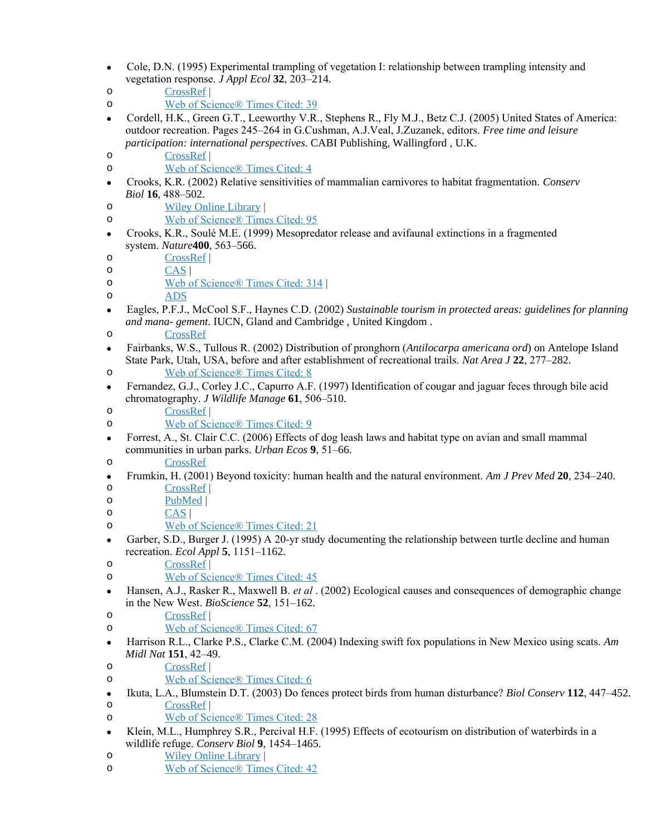- Cole, D.N. (1995) Experimental trampling of vegetation I: relationship between trampling intensity and vegetation response. *J Appl Ecol* **32**, 203–214.
- o [CrossRef](http://dx.doi.org/10.2307%2F2404429) |
- o [Web of Science® Times Cited: 39](http://gateway.isiknowledge.com/gateway/Gateway.cgi?GWVersion=2&SrcApp=Wiley_Online_Library&SrcAuth=LinksAMR&KeyUT=A1995QL81700020&DestLinkType=FullRecord&DestApp=ALL_WOS&UsrCustomerID=5d29b08d2a4045cc6e96df01e7663ac0)
- Cordell, H.K., Green G.T., Leeworthy V.R., Stephens R., Fly M.J., Betz C.J. (2005) United States of America: outdoor recreation. Pages 245–264 in G.Cushman, A.J.Veal, J.Zuzanek, editors. *Free time and leisure participation: international perspectives*. CABI Publishing, Wallingford , U.K.
- o [CrossRef](http://dx.doi.org/10.1079%2F9780851996202.0245) |
- o [Web of Science® Times Cited: 4](http://gateway.isiknowledge.com/gateway/Gateway.cgi?GWVersion=2&SrcApp=Wiley_Online_Library&SrcAuth=LinksAMR&KeyUT=000312933700017&DestLinkType=FullRecord&DestApp=ALL_WOS&UsrCustomerID=5d29b08d2a4045cc6e96df01e7663ac0)
- Crooks, K.R. (2002) Relative sensitivities of mammalian carnivores to habitat fragmentation. *Conserv Biol* **16**, 488–502.
- o [Wiley Online Library](http://onlinelibrary.wiley.com/enhanced/doi/10.1046/j.1523-1739.2002.00386.x) |
- o [Web of Science® Times Cited: 95](http://gateway.isiknowledge.com/gateway/Gateway.cgi?GWVersion=2&SrcApp=Wiley_Online_Library&SrcAuth=LinksAMR&KeyUT=000174750800027&DestLinkType=FullRecord&DestApp=ALL_WOS&UsrCustomerID=5d29b08d2a4045cc6e96df01e7663ac0)
- Crooks, K.R., Soulé M.E. (1999) Mesopredator release and avifaunal extinctions in a fragmented system. *Nature***400**, 563–566.
- o [CrossRef](http://dx.doi.org/10.1038%2F23028) |
- o [CAS](http://chemport.cas.org/cgi-bin/sdcgi?APP=ftslink&action=reflink&origin=wiley&version=1%2E0&coi=1%3aCAS%3a528%3aDyaK1MXltFKrsrw%253D&md5=1488e76ee671bffd6e65c496306888aa) |
- o [Web of Science® Times Cited: 314](http://gateway.isiknowledge.com/gateway/Gateway.cgi?GWVersion=2&SrcApp=Wiley_Online_Library&SrcAuth=LinksAMR&KeyUT=000081854800055&DestLinkType=FullRecord&DestApp=ALL_WOS&UsrCustomerID=5d29b08d2a4045cc6e96df01e7663ac0) |
- o [ADS](http://adsabs.harvard.edu/abs/1999Natur.400..563C)
- Eagles, P.F.J., McCool S.F., Haynes C.D. (2002) *Sustainable tourism in protected areas: guidelines for planning and mana- gement*. IUCN, Gland and Cambridge , United Kingdom .
- o [CrossRef](http://dx.doi.org/10.1079%2F9780851995892.0000)
- Fairbanks, W.S., Tullous R. (2002) Distribution of pronghorn (*Antilocarpa americana ord*) on Antelope Island State Park, Utah, USA, before and after establishment of recreational trails. *Nat Area J* **22**, 277–282.
- o [Web of Science® Times Cited: 8](http://gateway.isiknowledge.com/gateway/Gateway.cgi?GWVersion=2&SrcApp=Wiley_Online_Library&SrcAuth=LinksAMR&KeyUT=000178695200004&DestLinkType=FullRecord&DestApp=ALL_WOS&UsrCustomerID=5d29b08d2a4045cc6e96df01e7663ac0)
- Fernandez, G.J., Corley J.C., Capurro A.F. (1997) Identification of cougar and jaguar feces through bile acid chromatography. *J Wildlife Manage* **61**, 506–510.
- o [CrossRef](http://dx.doi.org/10.2307%2F3802608) |
- o [Web of Science® Times Cited: 9](http://gateway.isiknowledge.com/gateway/Gateway.cgi?GWVersion=2&SrcApp=Wiley_Online_Library&SrcAuth=LinksAMR&KeyUT=A1997XD77900028&DestLinkType=FullRecord&DestApp=ALL_WOS&UsrCustomerID=5d29b08d2a4045cc6e96df01e7663ac0)
- Forrest, A., St. Clair C.C. (2006) Effects of dog leash laws and habitat type on avian and small mammal communities in urban parks. *Urban Ecos* **9**, 51–66.
- o [CrossRef](http://dx.doi.org/10.1007%2Fs11252-006-7903-3)
- Frumkin, H. (2001) Beyond toxicity: human health and the natural environment. *Am J Prev Med* **20**, 234–240.
- o [CrossRef](http://dx.doi.org/10.1016%2FS0749-3797%2800%2900317-2) |
- o [PubMed](http://www.ncbi.nlm.nih.gov/pubmed/11275453) |
- o [CAS](http://chemport.cas.org/cgi-bin/sdcgi?APP=ftslink&action=reflink&origin=wiley&version=1%2E0&coi=1%3aSTN%3a280%3aDC%252BD38%252FgslGgsQ%253D%253D&md5=d2725adeb6a1db65af03bea6f1566ede) |
- o [Web of Science® Times Cited: 21](http://gateway.isiknowledge.com/gateway/Gateway.cgi?GWVersion=2&SrcApp=Wiley_Online_Library&SrcAuth=LinksAMR&KeyUT=000168095600011&DestLinkType=FullRecord&DestApp=ALL_WOS&UsrCustomerID=5d29b08d2a4045cc6e96df01e7663ac0)
- Garber, S.D., Burger J. (1995) A 20-yr study documenting the relationship between turtle decline and human recreation. *Ecol Appl* **5**, 1151–1162.
- o [CrossRef](http://dx.doi.org/10.2307%2F2269362) |
- o [Web of Science® Times Cited: 45](http://gateway.isiknowledge.com/gateway/Gateway.cgi?GWVersion=2&SrcApp=Wiley_Online_Library&SrcAuth=LinksAMR&KeyUT=A1995TF37500027&DestLinkType=FullRecord&DestApp=ALL_WOS&UsrCustomerID=5d29b08d2a4045cc6e96df01e7663ac0)
- Hansen, A.J., Rasker R., Maxwell B. *et al* . (2002) Ecological causes and consequences of demographic change in the New West. *BioScience* **52**, 151–162.
- o [CrossRef](http://dx.doi.org/10.1641%2F0006-3568%282002%29052%5B0151%3AECACOD%5D2.0.CO%3B2) |
- o [Web of Science® Times Cited: 67](http://gateway.isiknowledge.com/gateway/Gateway.cgi?GWVersion=2&SrcApp=Wiley_Online_Library&SrcAuth=LinksAMR&KeyUT=000173839600006&DestLinkType=FullRecord&DestApp=ALL_WOS&UsrCustomerID=5d29b08d2a4045cc6e96df01e7663ac0)
- Harrison R.L., Clarke P.S., Clarke C.M. (2004) Indexing swift fox populations in New Mexico using scats. *Am Midl Nat* **151**, 42–49.
- o [CrossRef](http://dx.doi.org/10.1674%2F0003-0031%282004%29151%5B0042%3AISFPIN%5D2.0.CO%3B2) |
- o [Web of Science® Times Cited: 6](http://gateway.isiknowledge.com/gateway/Gateway.cgi?GWVersion=2&SrcApp=Wiley_Online_Library&SrcAuth=LinksAMR&KeyUT=000188376500005&DestLinkType=FullRecord&DestApp=ALL_WOS&UsrCustomerID=5d29b08d2a4045cc6e96df01e7663ac0)
- Ikuta, L.A., Blumstein D.T. (2003) Do fences protect birds from human disturbance? *Biol Conserv* **112**, 447–452. o [CrossRef](http://dx.doi.org/10.1016%2FS0006-3207%2802%2900324-5) |
- o [Web of Science® Times Cited: 28](http://gateway.isiknowledge.com/gateway/Gateway.cgi?GWVersion=2&SrcApp=Wiley_Online_Library&SrcAuth=LinksAMR&KeyUT=000183099100015&DestLinkType=FullRecord&DestApp=ALL_WOS&UsrCustomerID=5d29b08d2a4045cc6e96df01e7663ac0)
- Klein, M.L., Humphrey S.R., Percival H.F. (1995) Effects of ecotourism on distribution of waterbirds in a wildlife refuge. *Conserv Biol* **9**, 1454–1465.
- o [Wiley Online Library](http://onlinelibrary.wiley.com/enhanced/doi/10.1046/j.1523-1739.1995.09061454.x) |
- o [Web of Science® Times Cited: 42](http://gateway.isiknowledge.com/gateway/Gateway.cgi?GWVersion=2&SrcApp=Wiley_Online_Library&SrcAuth=LinksAMR&KeyUT=A1995TL67200014&DestLinkType=FullRecord&DestApp=ALL_WOS&UsrCustomerID=5d29b08d2a4045cc6e96df01e7663ac0)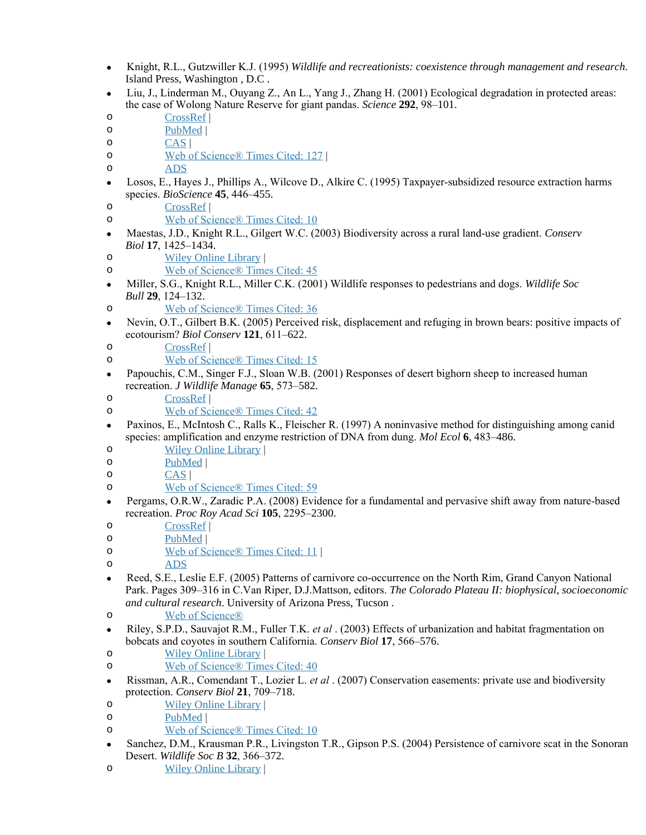- Knight, R.L., Gutzwiller K.J. (1995) *Wildlife and recreationists: coexistence through management and research*. Island Press, Washington , D.C .
- Liu, J., Linderman M., Ouyang Z., An L., Yang J., Zhang H. (2001) Ecological degradation in protected areas: the case of Wolong Nature Reserve for giant pandas. *Science* **292**, 98–101.

- o [PubMed](http://www.ncbi.nlm.nih.gov/pubmed/11292872) |
- $\overline{CAS}$  $\overline{CAS}$  $\overline{CAS}$  |
- o [Web of Science® Times Cited: 127](http://gateway.isiknowledge.com/gateway/Gateway.cgi?GWVersion=2&SrcApp=Wiley_Online_Library&SrcAuth=LinksAMR&KeyUT=000167995200046&DestLinkType=FullRecord&DestApp=ALL_WOS&UsrCustomerID=5d29b08d2a4045cc6e96df01e7663ac0) |
- o [ADS](http://adsabs.harvard.edu/abs/2001Sci...292...98L)
- Losos, E., Hayes J., Phillips A., Wilcove D., Alkire C. (1995) Taxpayer-subsidized resource extraction harms species. *BioScience* **45**, 446–455.
- o [CrossRef](http://dx.doi.org/10.2307%2F1312788) |
- o [Web of Science® Times Cited: 10](http://gateway.isiknowledge.com/gateway/Gateway.cgi?GWVersion=2&SrcApp=Wiley_Online_Library&SrcAuth=LinksAMR&KeyUT=A1995RF56000005&DestLinkType=FullRecord&DestApp=ALL_WOS&UsrCustomerID=5d29b08d2a4045cc6e96df01e7663ac0)
- Maestas, J.D., Knight R.L., Gilgert W.C. (2003) Biodiversity across a rural land-use gradient. *Conserv Biol* **17**, 1425–1434.
- o [Wiley Online Library](http://onlinelibrary.wiley.com/enhanced/doi/10.1046/j.1523-1739.2003.02371.x) |
- o [Web of Science® Times Cited: 45](http://gateway.isiknowledge.com/gateway/Gateway.cgi?GWVersion=2&SrcApp=Wiley_Online_Library&SrcAuth=LinksAMR&KeyUT=000185473000027&DestLinkType=FullRecord&DestApp=ALL_WOS&UsrCustomerID=5d29b08d2a4045cc6e96df01e7663ac0)
- Miller, S.G., Knight R.L., Miller C.K. (2001) Wildlife responses to pedestrians and dogs. *Wildlife Soc Bull* **29**, 124–132.
- o [Web of Science® Times Cited: 36](http://gateway.isiknowledge.com/gateway/Gateway.cgi?GWVersion=2&SrcApp=Wiley_Online_Library&SrcAuth=LinksAMR&KeyUT=000168179900016&DestLinkType=FullRecord&DestApp=ALL_WOS&UsrCustomerID=5d29b08d2a4045cc6e96df01e7663ac0)
- Nevin, O.T., Gilbert B.K. (2005) Perceived risk, displacement and refuging in brown bears: positive impacts of ecotourism? *Biol Conserv* **121**, 611–622.
- o [CrossRef](http://dx.doi.org/10.1016%2Fj.biocon.2004.06.011) |
- o [Web of Science® Times Cited: 15](http://gateway.isiknowledge.com/gateway/Gateway.cgi?GWVersion=2&SrcApp=Wiley_Online_Library&SrcAuth=LinksAMR&KeyUT=000225052500013&DestLinkType=FullRecord&DestApp=ALL_WOS&UsrCustomerID=5d29b08d2a4045cc6e96df01e7663ac0)
- Papouchis, C.M., Singer F.J., Sloan W.B. (2001) Responses of desert bighorn sheep to increased human recreation. *J Wildlife Manage* **65**, 573–582.
- o [CrossRef](http://dx.doi.org/10.2307%2F3803110) |
- o [Web of Science® Times Cited: 42](http://gateway.isiknowledge.com/gateway/Gateway.cgi?GWVersion=2&SrcApp=Wiley_Online_Library&SrcAuth=LinksAMR&KeyUT=000169650900023&DestLinkType=FullRecord&DestApp=ALL_WOS&UsrCustomerID=5d29b08d2a4045cc6e96df01e7663ac0)
- Paxinos, E., McIntosh C., Ralls K., Fleischer R. (1997) A noninvasive method for distinguishing among canid species: amplification and enzyme restriction of DNA from dung. *Mol Ecol* **6**, 483–486.
- o [Wiley Online Library](http://onlinelibrary.wiley.com/enhanced/doi/10.1046/j.1365-294X.1997.00206.x) |
- o [PubMed](http://www.ncbi.nlm.nih.gov/pubmed/9161016) |
- o [CAS](http://chemport.cas.org/cgi-bin/sdcgi?APP=ftslink&action=reflink&origin=wiley&version=1%2E0&coi=1%3aCAS%3a528%3aDyaK2sXjsFOhs78%253D&md5=31a17e24894346f484dd311fde4a7c88) |
- o [Web of Science® Times Cited: 59](http://gateway.isiknowledge.com/gateway/Gateway.cgi?GWVersion=2&SrcApp=Wiley_Online_Library&SrcAuth=LinksAMR&KeyUT=A1997WY86400009&DestLinkType=FullRecord&DestApp=ALL_WOS&UsrCustomerID=5d29b08d2a4045cc6e96df01e7663ac0)
- Pergams, O.R.W., Zaradic P.A. (2008) Evidence for a fundamental and pervasive shift away from nature-based recreation. *Proc Roy Acad Sci* **105**, 2295–2300.
- o [CrossRef](http://dx.doi.org/10.1073%2Fpnas.0709893105) |
- o [PubMed](http://www.ncbi.nlm.nih.gov/pubmed/18250312) |
- o [Web of Science® Times Cited: 11](http://gateway.isiknowledge.com/gateway/Gateway.cgi?GWVersion=2&SrcApp=Wiley_Online_Library&SrcAuth=LinksAMR&KeyUT=000253469900011&DestLinkType=FullRecord&DestApp=ALL_WOS&UsrCustomerID=5d29b08d2a4045cc6e96df01e7663ac0) |
- o [ADS](http://adsabs.harvard.edu/abs/2008PNAS..105.2295P)
- Reed, S.E., Leslie E.F. (2005) Patterns of carnivore co-occurrence on the North Rim, Grand Canyon National Park. Pages 309–316 in C.Van Riper, D.J.Mattson, editors. *The Colorado Plateau II: biophysical, socioeconomic and cultural research*. University of Arizona Press, Tucson .
- o [Web of Science®](http://gateway.isiknowledge.com/gateway/Gateway.cgi?GWVersion=2&SrcApp=Wiley_Online_Library&SrcAuth=LinksAMR&KeyUT=000233747300022&DestLinkType=FullRecord&DestApp=ALL_WOS&UsrCustomerID=5d29b08d2a4045cc6e96df01e7663ac0)
- Riley, S.P.D., Sauvajot R.M., Fuller T.K. *et al* . (2003) Effects of urbanization and habitat fragmentation on bobcats and coyotes in southern California. *Conserv Biol* **17**, 566–576.
- o [Wiley Online Library](http://onlinelibrary.wiley.com/enhanced/doi/10.1046/j.1523-1739.2003.01458.x) |
- o [Web of Science® Times Cited: 40](http://gateway.isiknowledge.com/gateway/Gateway.cgi?GWVersion=2&SrcApp=Wiley_Online_Library&SrcAuth=LinksAMR&KeyUT=000181736400025&DestLinkType=FullRecord&DestApp=ALL_WOS&UsrCustomerID=5d29b08d2a4045cc6e96df01e7663ac0)
- Rissman, A.R., Comendant T., Lozier L. *et al* . (2007) Conservation easements: private use and biodiversity protection. *Conserv Biol* **21**, 709–718.
- o [Wiley Online Library](http://onlinelibrary.wiley.com/enhanced/doi/10.1111/j.1523-1739.2007.00660.x) |
- o [PubMed](http://www.ncbi.nlm.nih.gov/pubmed/17531049) |
- o [Web of Science® Times Cited: 10](http://gateway.isiknowledge.com/gateway/Gateway.cgi?GWVersion=2&SrcApp=Wiley_Online_Library&SrcAuth=LinksAMR&KeyUT=000246843200017&DestLinkType=FullRecord&DestApp=ALL_WOS&UsrCustomerID=5d29b08d2a4045cc6e96df01e7663ac0)
- Sanchez, D.M., Krausman P.R., Livingston T.R., Gipson P.S. (2004) Persistence of carnivore scat in the Sonoran Desert. *Wildlife Soc B* **32**, 366–372.
- o [Wiley Online Library](http://onlinelibrary.wiley.com/enhanced/doi/10.2193/0091-7648(2004)32%5b366:POCSIT%5d2.0.CO;2) |

o [CrossRef](http://dx.doi.org/10.1126%2Fscience.1058104) |